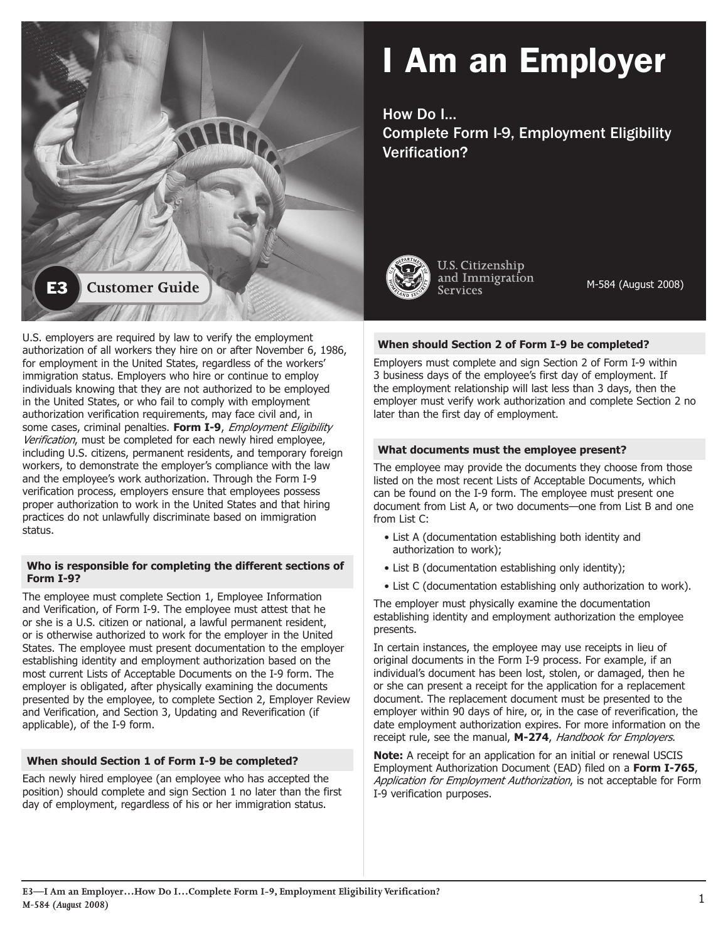

# I Am an Employer

How Do I…

Complete Form I-9, Employment Eligibility Verification?



**U.S. Citizenship** and Immigration **Services** 

M-584 (August 2008)

U.S. employers are required by law to verify the employment authorization of all workers they hire on or after November 6, 1986, for employment in the United States, regardless of the workers' immigration status. Employers who hire or continue to employ individuals knowing that they are not authorized to be employed in the United States, or who fail to comply with employment authorization verification requirements, may face civil and, in some cases, criminal penalties. Form I-9, *Employment Eligibility* Verification, must be completed for each newly hired employee, including U.S. citizens, permanent residents, and temporary foreign workers, to demonstrate the employer's compliance with the law and the employee's work authorization. Through the Form I-9 verification process, employers ensure that employees possess proper authorization to work in the United States and that hiring practices do not unlawfully discriminate based on immigration status.

# **Who is responsible for completing the different sections of Form I-9?**

The employee must complete Section 1, Employee Information and Verification, of Form I-9. The employee must attest that he or she is a U.S. citizen or national, a lawful permanent resident, or is otherwise authorized to work for the employer in the United States. The employee must present documentation to the employer establishing identity and employment authorization based on the most current Lists of Acceptable Documents on the I-9 form. The employer is obligated, after physically examining the documents presented by the employee, to complete Section 2, Employer Review and Verification, and Section 3, Updating and Reverification (if applicable), of the I-9 form.

# **When should Section 1 of Form I-9 be completed?**

Each newly hired employee (an employee who has accepted the position) should complete and sign Section 1 no later than the first day of employment, regardless of his or her immigration status.

# **When should Section 2 of Form I-9 be completed?**

Employers must complete and sign Section 2 of Form I-9 within 3 business days of the employee's first day of employment. If the employment relationship will last less than 3 days, then the employer must verify work authorization and complete Section 2 no later than the first day of employment.

# **What documents must the employee present?**

The employee may provide the documents they choose from those listed on the most recent Lists of Acceptable Documents, which can be found on the I-9 form. The employee must present one document from List A, or two documents—one from List B and one from List C:

- List A (documentation establishing both identity and authorization to work);
- List B (documentation establishing only identity);
- List C (documentation establishing only authorization to work).

The employer must physically examine the documentation establishing identity and employment authorization the employee presents.

In certain instances, the employee may use receipts in lieu of original documents in the Form I-9 process. For example, if an individual's document has been lost, stolen, or damaged, then he or she can present a receipt for the application for a replacement document. The replacement document must be presented to the employer within 90 days of hire, or, in the case of reverification, the date employment authorization expires. For more information on the receipt rule, see the manual, **M-274**, Handbook for Employers.

**Note:** A receipt for an application for an initial or renewal USCIS Employment Authorization Document (EAD) filed on a **Form I-765**, Application for Employment Authorization, is not acceptable for Form I-9 verification purposes.